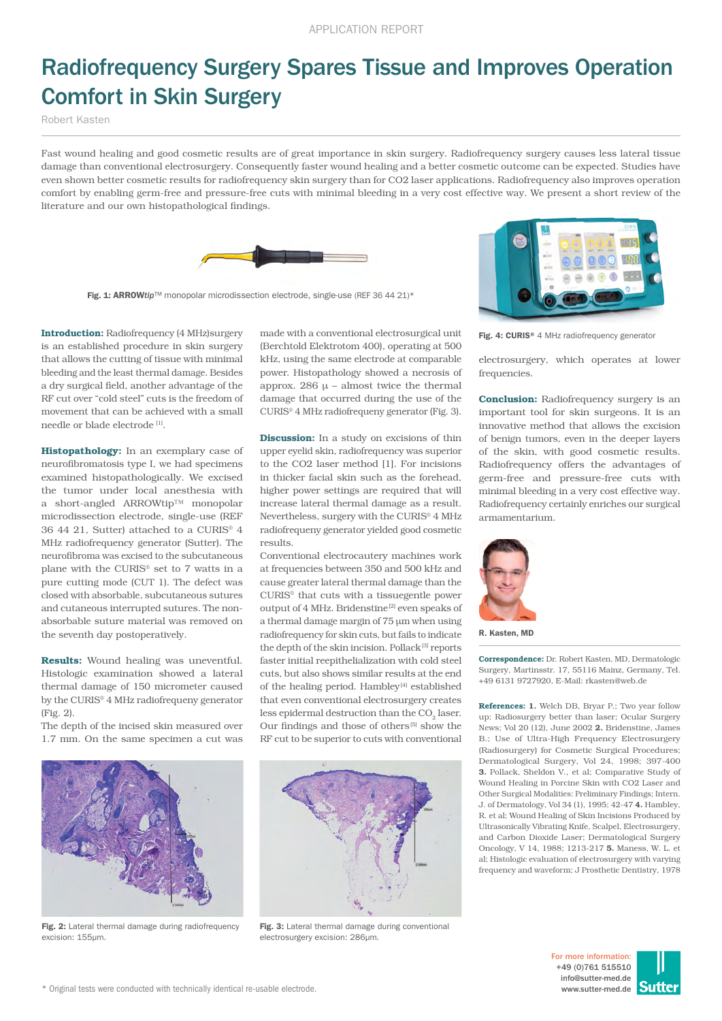## Radiofrequency Surgery Spares Tissue and Improves Operation Comfort in Skin Surgery

Robert Kasten

Fast wound healing and good cosmetic results are of great importance in skin surgery. Radiofrequency surgery causes less lateral tissue damage than conventional electrosurgery. Consequently faster wound healing and a better cosmetic outcome can be expected. Studies have even shown better cosmetic results for radiofrequency skin surgery than for CO2 laser applications. Radiofrequency also improves operation comfort by enabling germ-free and pressure-free cuts with minimal bleeding in a very cost effective way. We present a short review of the literature and our own histopathological findings.



Fig. 1: ARROWtip<sup>™</sup> monopolar microdissection electrode, single-use (REF 36 44 21)\*



Histopathology: In an exemplary case of neurofibromatosis type I, we had specimens examined histopathologically. We excised the tumor under local anesthesia with a short-angled ARROWtip™ monopolar microdissection electrode, single-use (REF 36 44 21, Sutter) attached to a CURIS® 4 MHz radiofrequency generator (Sutter). The neurofibroma was excised to the subcutaneous plane with the CURIS® set to 7 watts in a pure cutting mode (CUT 1). The defect was closed with absorbable, subcutaneous sutures and cutaneous interrupted sutures. The nonabsorbable suture material was removed on the seventh day postoperatively.

Results: Wound healing was uneventful. Histologic examination showed a lateral thermal damage of 150 micrometer caused by the CURIS® 4 MHz radiofrequeny generator (Fig. 2).

The depth of the incised skin measured over 1.7 mm. On the same specimen a cut was

Fig. 2: Lateral thermal damage during radiofrequency

excision: 155µm.

made with a conventional electrosurgical unit (Berchtold Elektrotom 400), operating at 500 kHz, using the same electrode at comparable power. Histopathology showed a necrosis of approx. 286  $\mu$  – almost twice the thermal damage that occurred during the use of the CURIS® 4 MHz radiofrequeny generator (Fig. 3).

**Discussion:** In a study on excisions of thin upper eyelid skin, radiofrequency was superior to the CO2 laser method [1]. For incisions in thicker facial skin such as the forehead, higher power settings are required that will increase lateral thermal damage as a result. Nevertheless, surgery with the CURIS® 4 MHz radiofrequeny generator yielded good cosmetic results.

Conventional electrocautery machines work at frequencies between 350 and 500 kHz and cause greater lateral thermal damage than the CURIS® that cuts with a tissuegentle power output of 4 MHz. Bridenstine<sup>[2]</sup> even speaks of a thermal damage margin of 75 µm when using radiofrequency for skin cuts, but fails to indicate the depth of the skin incision. Pollack<sup>[3]</sup> reports faster initial reepithelialization with cold steel cuts, but also shows similar results at the end of the healing period. Hambley<sup>[4]</sup> established that even conventional electrosurgery creates less epidermal destruction than the CO<sub>2</sub> laser. Our findings and those of others<sup>[5]</sup> show the RF cut to be superior to cuts with conventional



Fig. 3: Lateral thermal damage during conventional electrosurgery excision: 286µm.



Fig. 4: CURIS® 4 MHz radiofrequency generator

electrosurgery, which operates at lower frequencies.

**Conclusion:** Radiofrequency surgery is an important tool for skin surgeons. It is an innovative method that allows the excision of benign tumors, even in the deeper layers of the skin, with good cosmetic results. Radiofrequency offers the advantages of germ-free and pressure-free cuts with minimal bleeding in a very cost effective way. Radiofrequency certainly enriches our surgical armamentarium.



R. Kasten, MD

Correspondence: Dr. Robert Kasten, MD, Dermatologic Surgery, Martinsstr. 17, 55116 Mainz, Germany, Tel. +49 6131 9727920, E-Mail: rkasten@web.de

References: 1. Welch DB, Bryar P.; Two year follow up: Radiosurgery better than laser; Ocular Surgery News; Vol 20 (12), June 2002 2. Bridenstine, James B.; Use of Ultra-High Frequency Electrosurgery (Radiosurgery) for Cosmetic Surgical Procedures; Dermatological Surgery, Vol 24, 1998; 397-400 3. Pollack, Sheldon V., et al; Comparative Study of Wound Healing in Porcine Skin with CO2 Laser and Other Surgical Modalities: Preliminary Findings; Intern. J. of Dermatology, Vol 34 (1), 1995; 42-47 4. Hambley, R. et al; Wound Healing of Skin Incisions Produced by Ultrasonically Vibrating Knife, Scalpel, Electrosurgery, and Carbon Dioxide Laser; Dermatological Surgery Oncology, V 14, 1988; 1213-217 5. Maness, W. L. et al; Histologic evaluation of electrosurgery with varying frequency and waveform; J Prosthetic Dentistry, 1978